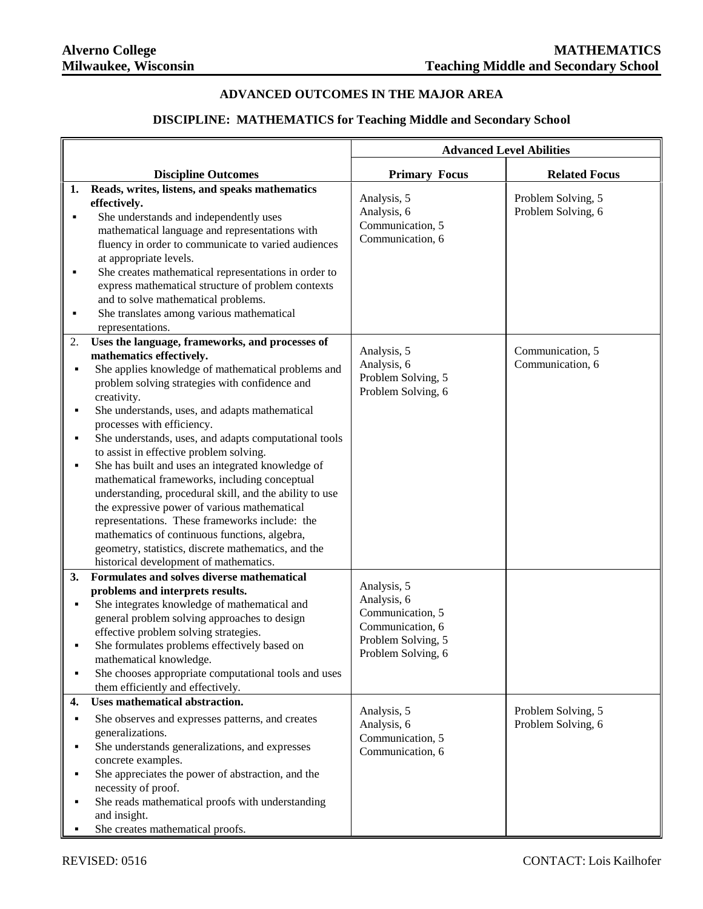## **ADVANCED OUTCOMES IN THE MAJOR AREA**

## **DISCIPLINE: MATHEMATICS for Teaching Middle and Secondary School**

|              |                                                                                                                                                                                                                                                                                                                                                                                                                                                                                                                                                                                                                                                                                                                                                                                                             | <b>Advanced Level Abilities</b>                                                                                |                                          |
|--------------|-------------------------------------------------------------------------------------------------------------------------------------------------------------------------------------------------------------------------------------------------------------------------------------------------------------------------------------------------------------------------------------------------------------------------------------------------------------------------------------------------------------------------------------------------------------------------------------------------------------------------------------------------------------------------------------------------------------------------------------------------------------------------------------------------------------|----------------------------------------------------------------------------------------------------------------|------------------------------------------|
|              | <b>Discipline Outcomes</b>                                                                                                                                                                                                                                                                                                                                                                                                                                                                                                                                                                                                                                                                                                                                                                                  | <b>Primary Focus</b>                                                                                           | <b>Related Focus</b>                     |
| 1.<br>٠      | Reads, writes, listens, and speaks mathematics<br>effectively.<br>She understands and independently uses<br>mathematical language and representations with<br>fluency in order to communicate to varied audiences<br>at appropriate levels.<br>She creates mathematical representations in order to<br>express mathematical structure of problem contexts<br>and to solve mathematical problems.<br>She translates among various mathematical<br>representations.                                                                                                                                                                                                                                                                                                                                           | Analysis, 5<br>Analysis, 6<br>Communication, 5<br>Communication, 6                                             | Problem Solving, 5<br>Problem Solving, 6 |
| 2.<br>٠      | Uses the language, frameworks, and processes of<br>mathematics effectively.<br>She applies knowledge of mathematical problems and<br>problem solving strategies with confidence and<br>creativity.<br>She understands, uses, and adapts mathematical<br>processes with efficiency.<br>She understands, uses, and adapts computational tools<br>to assist in effective problem solving.<br>She has built and uses an integrated knowledge of<br>mathematical frameworks, including conceptual<br>understanding, procedural skill, and the ability to use<br>the expressive power of various mathematical<br>representations. These frameworks include: the<br>mathematics of continuous functions, algebra,<br>geometry, statistics, discrete mathematics, and the<br>historical development of mathematics. | Analysis, 5<br>Analysis, 6<br>Problem Solving, 5<br>Problem Solving, 6                                         | Communication, 5<br>Communication, 6     |
| 3.           | Formulates and solves diverse mathematical<br>problems and interprets results.<br>She integrates knowledge of mathematical and<br>general problem solving approaches to design<br>effective problem solving strategies.<br>She formulates problems effectively based on<br>mathematical knowledge.<br>She chooses appropriate computational tools and uses<br>them efficiently and effectively.                                                                                                                                                                                                                                                                                                                                                                                                             | Analysis, 5<br>Analysis, 6<br>Communication, 5<br>Communication, 6<br>Problem Solving, 5<br>Problem Solving, 6 |                                          |
| 4.<br>٠<br>٠ | Uses mathematical abstraction.<br>She observes and expresses patterns, and creates<br>generalizations.<br>She understands generalizations, and expresses<br>concrete examples.<br>She appreciates the power of abstraction, and the<br>necessity of proof.<br>She reads mathematical proofs with understanding<br>and insight.<br>She creates mathematical proofs.                                                                                                                                                                                                                                                                                                                                                                                                                                          | Analysis, 5<br>Analysis, 6<br>Communication, 5<br>Communication, 6                                             | Problem Solving, 5<br>Problem Solving, 6 |